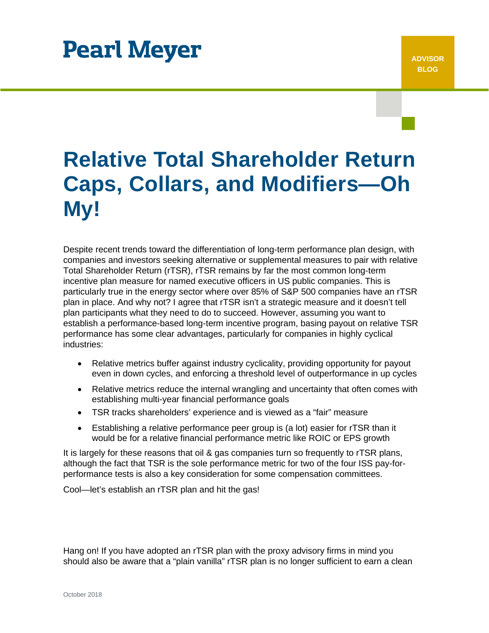# **Pearl Meyer**

# **Relative Total Shareholder Return Caps, Collars, and Modifiers—Oh My!**

Despite recent trends toward the differentiation of long-term performance plan design, with companies and investors seeking alternative or supplemental measures to pair with relative Total Shareholder Return (rTSR), rTSR remains by far the most common long-term incentive plan measure for named executive officers in US public companies. This is particularly true in the energy sector where over 85% of S&P 500 companies have an rTSR plan in place. And why not? I agree that rTSR isn't a strategic measure and it doesn't tell plan participants what they need to do to succeed. However, assuming you want to establish a performance-based long-term incentive program, basing payout on relative TSR performance has some clear advantages, particularly for companies in highly cyclical industries:

- Relative metrics buffer against industry cyclicality, providing opportunity for payout even in down cycles, and enforcing a threshold level of outperformance in up cycles
- Relative metrics reduce the internal wrangling and uncertainty that often comes with establishing multi-year financial performance goals
- TSR tracks shareholders' experience and is viewed as a "fair" measure
- Establishing a relative performance peer group is (a lot) easier for rTSR than it would be for a relative financial performance metric like ROIC or EPS growth

It is largely for these reasons that oil & gas companies turn so frequently to rTSR plans, although the fact that TSR is the sole performance metric for two of the four ISS pay-forperformance tests is also a key consideration for some compensation committees.

Cool—let's establish an rTSR plan and hit the gas!

Hang on! If you have adopted an rTSR plan with the proxy advisory firms in mind you should also be aware that a "plain vanilla" rTSR plan is no longer sufficient to earn a clean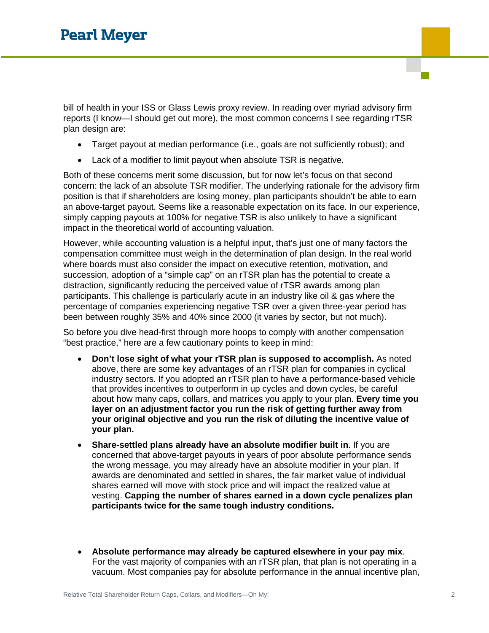bill of health in your ISS or Glass Lewis proxy review. In reading over myriad advisory firm reports (I know—I should get out more), the most common concerns I see regarding rTSR plan design are:

- Target payout at median performance (i.e., goals are not sufficiently robust); and
- Lack of a modifier to limit payout when absolute TSR is negative.

Both of these concerns merit some discussion, but for now let's focus on that second concern: the lack of an absolute TSR modifier. The underlying rationale for the advisory firm position is that if shareholders are losing money, plan participants shouldn't be able to earn an above-target payout. Seems like a reasonable expectation on its face. In our experience, simply capping payouts at 100% for negative TSR is also unlikely to have a significant impact in the theoretical world of accounting valuation.

However, while accounting valuation is a helpful input, that's just one of many factors the compensation committee must weigh in the determination of plan design. In the real world where boards must also consider the impact on executive retention, motivation, and succession, adoption of a "simple cap" on an rTSR plan has the potential to create a distraction, significantly reducing the perceived value of rTSR awards among plan participants. This challenge is particularly acute in an industry like oil & gas where the percentage of companies experiencing negative TSR over a given three-year period has been between roughly 35% and 40% since 2000 (it varies by sector, but not much).

So before you dive head-first through more hoops to comply with another compensation "best practice," here are a few cautionary points to keep in mind:

- **Don't lose sight of what your rTSR plan is supposed to accomplish.** As noted above, there are some key advantages of an rTSR plan for companies in cyclical industry sectors. If you adopted an rTSR plan to have a performance-based vehicle that provides incentives to outperform in up cycles and down cycles, be careful about how many caps, collars, and matrices you apply to your plan. **Every time you layer on an adjustment factor you run the risk of getting further away from your original objective and you run the risk of diluting the incentive value of your plan.**
- **Share-settled plans already have an absolute modifier built in**. If you are concerned that above-target payouts in years of poor absolute performance sends the wrong message, you may already have an absolute modifier in your plan. If awards are denominated and settled in shares, the fair market value of individual shares earned will move with stock price and will impact the realized value at vesting. **Capping the number of shares earned in a down cycle penalizes plan participants twice for the same tough industry conditions.**
- **Absolute performance may already be captured elsewhere in your pay mix**. For the vast majority of companies with an rTSR plan, that plan is not operating in a vacuum. Most companies pay for absolute performance in the annual incentive plan,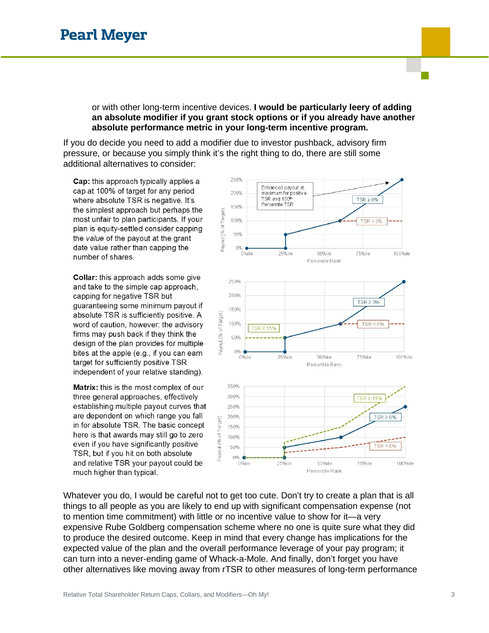### or with other long-term incentive devices. **I would be particularly leery of adding an absolute modifier if you grant stock options or if you already have another absolute performance metric in your long-term incentive program.**

If you do decide you need to add a modifier due to investor pushback, advisory firm pressure, or because you simply think it's the right thing to do, there are still some additional alternatives to consider:

Cap: this approach typically applies a cap at 100% of target for any period where absolute TSR is negative. It's the simplest approach but perhaps the most unfair to plan participants. If your plan is equity-settled consider capping the value of the payout at the grant date value rather than capping the number of shares.

Collar: this approach adds some give and take to the simple cap approach, capping for negative TSR but quaranteeing some minimum payout if absolute TSR is sufficiently positive. A word of caution, however: the advisory firms may push back if they think the design of the plan provides for multiple bites at the apple (e.g., if you can earn target for sufficiently positive TSR independent of your relative standing).

Matrix: this is the most complex of our three general approaches, effectively establishing multiple payout curves that are dependent on which range you fall in for absolute TSR. The basic concept here is that awards may still go to zero even if you have significantly positive TSR, but if you hit on both absolute and relative TSR your payout could be much higher than typical.



Whatever you do, I would be careful not to get too cute. Don't try to create a plan that is all things to all people as you are likely to end up with significant compensation expense (not to mention time commitment) with little or no incentive value to show for it—a very expensive Rube Goldberg compensation scheme where no one is quite sure what they did to produce the desired outcome. Keep in mind that every change has implications for the expected value of the plan and the overall performance leverage of your pay program; it can turn into a never-ending game of Whack-a-Mole. And finally, don't forget you have other alternatives like moving away from rTSR to other measures of long-term performance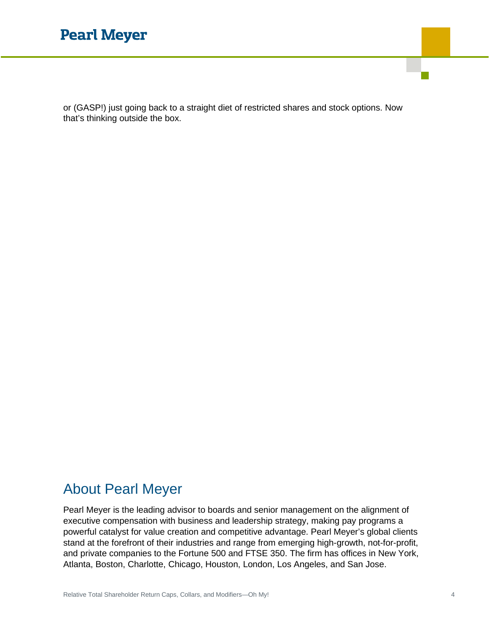## **Pearl Meyer**

or (GASP!) just going back to a straight diet of restricted shares and stock options. Now that's thinking outside the box.

### About Pearl Meyer

Pearl Meyer is the leading advisor to boards and senior management on the alignment of executive compensation with business and leadership strategy, making pay programs a powerful catalyst for value creation and competitive advantage. Pearl Meyer's global clients stand at the forefront of their industries and range from emerging high-growth, not-for-profit, and private companies to the Fortune 500 and FTSE 350. The firm has offices in New York, Atlanta, Boston, Charlotte, Chicago, Houston, London, Los Angeles, and San Jose.